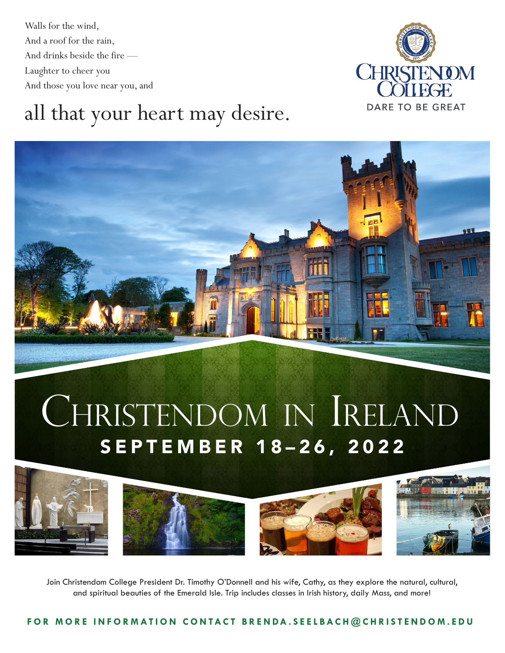Walls for the wind, And a roof for the rain, And drinks beside the fire — Laughter to cheer you And those you love near you, and



### all that your heart may desire.



# SEPTEMBER 18–26, 2022 CHRISTENDOM IN IRELAND



Join Christendom College President Dr. Timothy O'Donnell and his wife, Cathy, as they explore the natural, cultural, and spiritual beauties of the Emerald Isle. Trip includes classes in Irish history, daily Mass, and more!